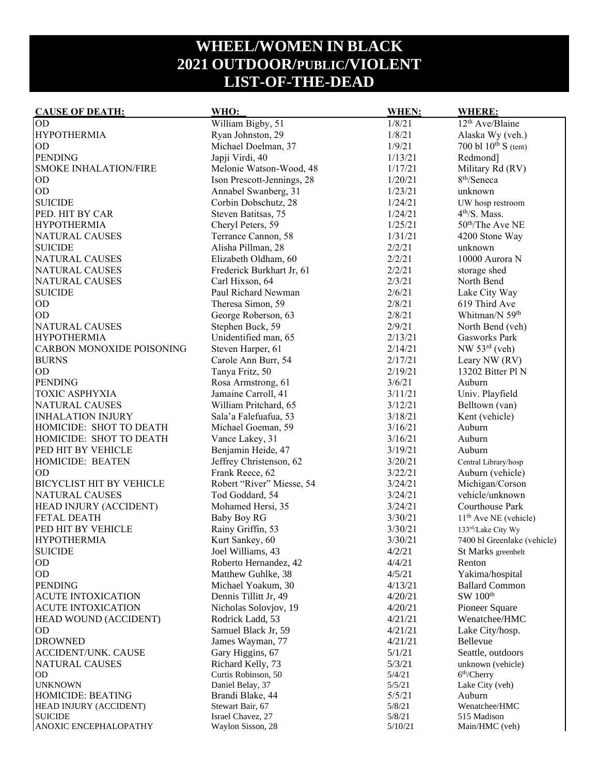## **WHEEL/WOMEN IN BLACK 2021 OUTDOOR/PUBLIC/VIOLENT LIST-OF-THE-DEAD**

| <b>CAUSE OF DEATH:</b>           | WHO:                       | <b>WHEN:</b> | <b>WHERE:</b>                     |
|----------------------------------|----------------------------|--------------|-----------------------------------|
| OD                               | William Bigby, 51          | 1/8/21       | 12 <sup>th</sup> Ave/Blaine       |
| <b>HYPOTHERMIA</b>               | Ryan Johnston, 29          | 1/8/21       | Alaska Wy (veh.)                  |
| <b>OD</b>                        | Michael Doelman, 37        | 1/9/21       | 700 bl $10^{th}$ S (tent)         |
| <b>PENDING</b>                   | Japji Virdi, 40            | 1/13/21      | Redmond]                          |
| <b>SMOKE INHALATION/FIRE</b>     | Melonie Watson-Wood, 48    | 1/17/21      | Military Rd (RV)                  |
| OD                               | Ison Prescott-Jennings, 28 | 1/20/21      | 8 <sup>th</sup> /Seneca           |
| OD                               | Annabel Swanberg, 31       | 1/23/21      | unknown                           |
| <b>SUICIDE</b>                   | Corbin Dobschutz, 28       | 1/24/21      | UW hosp restroom                  |
| PED. HIT BY CAR                  | Steven Batitsas, 75        | 1/24/21      | $4th/S$ . Mass.                   |
| <b>HYPOTHERMIA</b>               | Cheryl Peters, 59          | 1/25/21      | 50 <sup>th</sup> /The Ave NE      |
| NATURAL CAUSES                   | Terrance Cannon, 58        | 1/31/21      | 4200 Stone Way                    |
| <b>SUICIDE</b>                   | Alisha Pillman, 28         | 2/2/21       | unknown                           |
| NATURAL CAUSES                   | Elizabeth Oldham, 60       | 2/2/21       | 10000 Aurora N                    |
| NATURAL CAUSES                   | Frederick Burkhart Jr, 61  | 2/2/21       | storage shed                      |
| <b>NATURAL CAUSES</b>            | Carl Hixson, 64            | 2/3/21       | North Bend                        |
| <b>SUICIDE</b>                   | Paul Richard Newman        | 2/6/21       | Lake City Way                     |
| OD                               | Theresa Simon, 59          | 2/8/21       | 619 Third Ave                     |
| OD                               | George Roberson, 63        | 2/8/21       | Whitman/N 59 <sup>th</sup>        |
| NATURAL CAUSES                   | Stephen Buck, 59           | 2/9/21       | North Bend (veh)                  |
| <b>HYPOTHERMIA</b>               | Unidentified man, 65       | 2/13/21      | Gasworks Park                     |
| <b>CARBON MONOXIDE POISONING</b> | Steven Harper, 61          | 2/14/21      | $NW 53rd$ (veh)                   |
| <b>BURNS</b>                     | Carole Ann Burr, 54        | 2/17/21      | Leary NW (RV)                     |
| OD                               | Tanya Fritz, 50            | 2/19/21      | 13202 Bitter Pl N                 |
| <b>PENDING</b>                   | Rosa Armstrong, 61         | 3/6/21       | Auburn                            |
| TOXIC ASPHYXIA                   | Jamaine Carroll, 41        | 3/11/21      | Univ. Playfield                   |
| NATURAL CAUSES                   | William Pritchard, 65      | 3/12/21      | Belltown (van)                    |
| <b>INHALATION INJURY</b>         | Sala'a Falefuafua, 53      | 3/18/21      | Kent (vehicle)                    |
| HOMICIDE: SHOT TO DEATH          | Michael Goeman, 59         | 3/16/21      | Auburn                            |
| HOMICIDE: SHOT TO DEATH          | Vance Lakey, 31            | 3/16/21      | Auburn                            |
| PED HIT BY VEHICLE               | Benjamin Heide, 47         | 3/19/21      | Auburn                            |
| HOMICIDE: BEATEN                 | Jeffrey Christenson, 62    | 3/20/21      | Central Library/hosp              |
| <b>OD</b>                        | Frank Reece, 62            | 3/22/21      | Auburn (vehicle)                  |
| <b>BICYCLIST HIT BY VEHICLE</b>  | Robert "River" Miesse, 54  | 3/24/21      | Michigan/Corson                   |
| NATURAL CAUSES                   | Tod Goddard, 54            | 3/24/21      | vehicle/unknown                   |
| HEAD INJURY (ACCIDENT)           | Mohamed Hersi, 35          | 3/24/21      | Courthouse Park                   |
| <b>FETAL DEATH</b>               | <b>Baby Boy RG</b>         | 3/30/21      | 11 <sup>th</sup> Ave NE (vehicle) |
| PED HIT BY VEHICLE               | Rainy Griffin, 53          | 3/30/21      | 133rd/Lake City Wy                |
| <b>HYPOTHERMIA</b>               | Kurt Sankey, 60            | 3/30/21      | 7400 bl Greenlake (vehicle)       |
| <b>SUICIDE</b>                   | Joel Williams, 43          | 4/2/21       | St Marks greenbelt                |
| <b>OD</b>                        | Roberto Hernandez, 42      | 4/4/21       | Renton                            |
| OD                               | Matthew Guhlke, 38         | 4/5/21       | Yakima/hospital                   |
| <b>PENDING</b>                   | Michael Yoakum, 30         | 4/13/21      | <b>Ballard Common</b>             |
| <b>ACUTE INTOXICATION</b>        | Dennis Tillitt Jr, 49      | 4/20/21      | SW 100 <sup>th</sup>              |
| <b>ACUTE INTOXICATION</b>        | Nicholas Solovjov, 19      | 4/20/21      | Pioneer Square                    |
| HEAD WOUND (ACCIDENT)            | Rodrick Ladd, 53           | 4/21/21      | Wenatchee/HMC                     |
| OD                               | Samuel Black Jr, 59        | 4/21/21      | Lake City/hosp.                   |
| <b>DROWNED</b>                   | James Wayman, 77           | 4/21/21      | Bellevue                          |
| <b>ACCIDENT/UNK. CAUSE</b>       | Gary Higgins, 67           | 5/1/21       | Seattle, outdoors                 |
| NATURAL CAUSES                   | Richard Kelly, 73          | 5/3/21       | unknown (vehicle)                 |
| <b>OD</b>                        | Curtis Robinson, 50        | 5/4/21       | 6 <sup>th</sup> /Cherry           |
| <b>UNKNOWN</b>                   | Daniel Belay, 37           | 5/5/21       | Lake City (veh)                   |
| HOMICIDE: BEATING                | Brandi Blake, 44           | 5/5/21       | Auburn                            |
| HEAD INJURY (ACCIDENT)           | Stewart Bair, 67           | 5/8/21       | Wenatchee/HMC                     |
| <b>SUICIDE</b>                   | Israel Chavez, 27          | 5/8/21       | 515 Madison                       |
| ANOXIC ENCEPHALOPATHY            | Waylon Sisson, 28          | 5/10/21      | Main/HMC (veh)                    |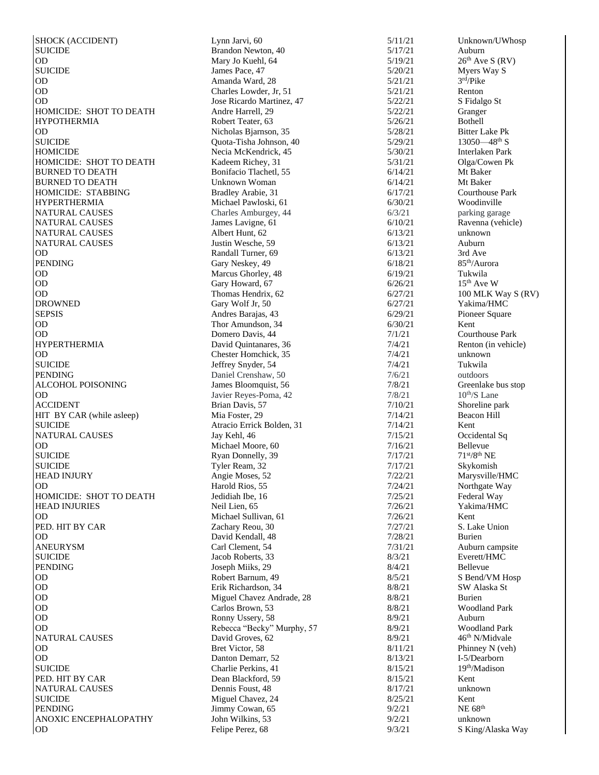SHOCK (ACCIDENT) Lynn Jarvi, 60 5/11/21 Unknown/UWhosp SUICIDE Brandon Newton, 40 5/17/21 Auburn OD Mary Jo Kuehl, 64  $5/19/21$   $26^{\text{th}}$  Ave S (RV)<br>SUICIDE James Pace, 47  $5/20/21$  Myers Way S  $\text{SUCIDE}$  James Pace, 47 5/20/21 OD Amanda Ward, 28 5/21/21 OD Charles Lowder, Jr, 51 5/21/21 Renton OD 3. The Ricardo Martinez, 47 5/22/21 S Fidalgo St HOMICIDE: SHOT TO DEATH Andre Harrell, 29 5/22/21 Granger HYPOTHERMIA Robert Teater, 63 5/26/21 Bothell OD Nicholas Biarnson, 35 5/28/21 Bitter Lake Pk **SUICIDE** HOMICIDE Necia McKendrick, 45 5/30/21 Interlaken Park HOMICIDE: SHOT TO DEATH Kadeem Richey, 31 5/31/21 Olga/Cowen Pk BURNED TO DEATH Bonifacio Tlachetl, 55 6/14/21 Mt Baker<br>BURNED TO DEATH Unknown Woman 6/14/21 Mt Baker BURNED TO DEATH Unknown Woman 6/14/21 Mt Baker HOMICIDE: STABBING Bradley Arabie, 31 6/17/21 Courthouse Park HYPERTHERMIA Michael Pawloski, 61 6/30/21 Woodinville NATURAL CAUSES Charles Amburgey, 44 6/3/21 parking garage NATURAL CAUSES James Lavigne, 61 6/10/21 Ravenna (vehicle) NATURAL CAUSES Albert Hunt, 62 6/13/21 unknown NATURAL CAUSES Justin Wesche, 59 6/13/21 Auburn OD Randall Turner, 69 6/13/21 3rd Ave<br>
Gary Neskey, 49 6/18/21 85<sup>th</sup>/Aurora PENDING Gary Neskey, 49 6/18/21 85<sup>th</sup>/Aurora DD 6/19/21 55th/Aurora DD 6/19/21 55th/Aurora DD 6/19/21 51kwila OD Marcus Ghorley, 48 6/19/21 Tukwila<br>
OD Gary Howard. 67 6/26/21 15<sup>th</sup> Ave W  $O$ D Gary Howard, 67 6/26/21 OD Thomas Hendrix, 62 6/27/21 100 MLK Way S (RV) DROWNED Gary Wolf Jr, 50 6/27/21 Yakima/HMC SEPSIS Andres Barajas, 43 6/29/21 Pioneer Square OD Thor Amundson, 34 6/30/21 Kent<br>
OD Thomero Davis. 44 7/1/21 Courthouse Park OD Domero Davis, 44<br>
HYPERTHERMIA David Ouintanares OD Chester Homchick, 35 7/4/21 unknown SUICIDE Jeffrey Snyder, 54 7/4/21 Tukwila PENDING Daniel Crenshaw, 50 7/6/21 outdoors ALCOHOL POISONING James Bloomquist, 56 7/8/21 Greenlake bus stop OD Javier Reyes-Poma, 42 ACCIDENT Brian Davis, 57 7/10/21 Shoreline park HIT BY CAR (while asleep) Mia Foster, 29 7/14/21 Beacon Hill SUICIDE Atracio Erric<br>
NATURAL CAUSES Jay Kehl, 46 NATURAL CAUSES Jay Kehl, 46 7/15/21 OD Michael Moore, 60 7/16/21 Bellevue SUICIDE Ryan Donnelly,  $39$   $7/17/21$   $71<sup>st</sup>/8<sup>th</sup> NE$ SUICIDE Tyler Ream, 32 7/17/21 Skykomish HEAD INJURY **Angie Moses, 52** 7/22/21 Marysville/HMC OD Branch Harold Rios, 55 7/24/21 Northgate Way HOMICIDE: SHOT TO DEATH Jedidiah Ibe, 16 7/25/21 Federal Way HEAD INJURIES Neil Lien, 65 7/26/21 Yakima/HMC OD Michael Sullivan, 61 7/26/21 Kent PED. HIT BY CAR  $Zachary$  Reou, 30  $7/27/21$  S. Lake Union OD David Kendall, 48 7/28/21 Burien ANEURYSM Carl Clement, 54 7/31/21 Auburn campsite SUICIDE Jacob Roberts, 33 8/3/21 Everett/HMC PENDING Bellevue Joseph Miiks, 29 8/4/21 Bellevue OD Robert Barnum, 49 8/5/21 S Bend/VM Hosp OD **Exit Richardson, 34** 8/8/21 SW Alaska St OD DE Carlos Brown, 53 Miguel Chavez Andrade, 28 8/8/21 Burien<br>
OD Carlos Brown, 53 8/8/21 Woodland Park OD Carlos Brown, 53 8/8/21 OD BOOK Ronny Ussery, 58 8/9/21 Auburn OD Bebecca "Becky" Murphy, 57 8/9/21 Woodland Park NATURAL CAUSES David Groves, 62 8/9/21 46<sup>th</sup> N/Midvale OD Bret Victor, 58 8/11/21 Phinney N (veh) OD Danton Demarr, 52 8/13/21 SUICIDE Charlie Perkins, 41 8/15/21 19<sup>th</sup>/Madison PED. HIT BY CAR Dean Blackford, 59 8/15/21 Kent NATURAL CAUSES Dennis Foust, 48 8/17/21 SUICIDE Miguel Chavez, 24 8/25/21 Kent<br>PENDING Jimmy Cowan. 65 9/2/21 NE 6 ANOXIC ENCEPHALOPATHY John Wilkins, 53 9/2/21 unknown<br>
OD 9/3/21 S King/A

 $Quota-Tisha Johnson, 40$   $5/29/21$ David Quintanares, 36 7/4/21 Renton (in vehicle) Atracio Errick Bolden, 31 7/14/21 Kent<br>Jav Kehl, 46 7/15/21 Occidental Sq  $\text{Jimmy Cowan}, 65$  9/2/21 NE 68<sup>th</sup> Felipe Perez, 68 9/3/21 S King/Alaska Way

3 rd/Pike  $-48^{\text{th}}$  S  $7/8/21$  10<sup>th</sup>/S Lane I -5/Dearborn unknown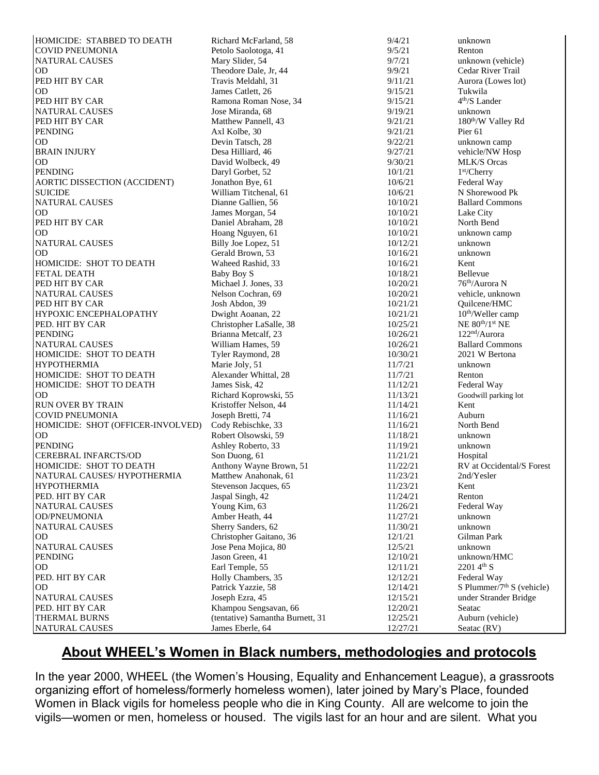| HOMICIDE: STABBED TO DEATH        | Richard McFarland, 58            | 9/4/21   | unknown                                 |
|-----------------------------------|----------------------------------|----------|-----------------------------------------|
| COVID PNEUMONIA                   | Petolo Saolotoga, 41             | 9/5/21   | Renton                                  |
| NATURAL CAUSES                    | Mary Slider, 54                  | 9/7/21   | unknown (vehicle)                       |
| <b>OD</b>                         | Theodore Dale, Jr, 44            | 9/9/21   | Cedar River Trail                       |
| PED HIT BY CAR                    | Travis Meldahl, 31               | 9/11/21  | Aurora (Lowes lot)                      |
| <b>OD</b>                         | James Catlett, 26                | 9/15/21  | Tukwila                                 |
| PED HIT BY CAR                    | Ramona Roman Nose, 34            | 9/15/21  | $4th/S$ Lander                          |
| <b>NATURAL CAUSES</b>             | Jose Miranda, 68                 | 9/19/21  | unknown                                 |
| PED HIT BY CAR                    | Matthew Pannell, 43              | 9/21/21  | 180 <sup>th</sup> /W Valley Rd          |
| <b>PENDING</b>                    | Axl Kolbe, 30                    | 9/21/21  | Pier <sub>61</sub>                      |
| OD                                | Devin Tatsch, 28                 | 9/22/21  | unknown camp                            |
| <b>BRAIN INJURY</b>               |                                  | 9/27/21  |                                         |
|                                   | Desa Hilliard, 46                |          | vehicle/NW Hosp                         |
| OD                                | David Wolbeck, 49                | 9/30/21  | <b>MLK/S Orcas</b>                      |
| <b>PENDING</b>                    | Daryl Gorbet, 52                 | 10/1/21  | 1 <sup>st</sup> /Cherry                 |
| AORTIC DISSECTION (ACCIDENT)      | Jonathon Bye, 61                 | 10/6/21  | Federal Way                             |
| <b>SUICIDE</b>                    | William Titchenal, 61            | 10/6/21  | N Shorewood Pk                          |
| NATURAL CAUSES                    | Dianne Gallien, 56               | 10/10/21 | <b>Ballard Commons</b>                  |
| <b>OD</b>                         | James Morgan, 54                 | 10/10/21 | Lake City                               |
| PED HIT BY CAR                    | Daniel Abraham, 28               | 10/10/21 | North Bend                              |
| <b>OD</b>                         | Hoang Nguyen, 61                 | 10/10/21 | unknown camp                            |
| NATURAL CAUSES                    | Billy Joe Lopez, 51              | 10/12/21 | unknown                                 |
| <b>OD</b>                         | Gerald Brown, 53                 | 10/16/21 | unknown                                 |
| HOMICIDE: SHOT TO DEATH           | Waheed Rashid, 33                | 10/16/21 | Kent                                    |
| <b>FETAL DEATH</b>                | Baby Boy S                       | 10/18/21 | Bellevue                                |
| PED HIT BY CAR                    | Michael J. Jones, 33             | 10/20/21 | 76 <sup>th</sup> /Aurora N              |
| <b>NATURAL CAUSES</b>             | Nelson Cochran, 69               | 10/20/21 | vehicle, unknown                        |
| PED HIT BY CAR                    | Josh Abdon, 39                   | 10/21/21 | Quilcene/HMC                            |
| HYPOXIC ENCEPHALOPATHY            | Dwight Aoanan, 22                | 10/21/21 | 10 <sup>th</sup> /Weller camp           |
| PED. HIT BY CAR                   | Christopher LaSalle, 38          | 10/25/21 | NE 80 <sup>th</sup> /1 <sup>st</sup> NE |
| <b>PENDING</b>                    | Brianna Metcalf, 23              | 10/26/21 | 122 <sup>nd</sup> /Aurora               |
| <b>NATURAL CAUSES</b>             | William Hames, 59                | 10/26/21 | <b>Ballard Commons</b>                  |
| HOMICIDE: SHOT TO DEATH           | Tyler Raymond, 28                | 10/30/21 | 2021 W Bertona                          |
| <b>HYPOTHERMIA</b>                | Marie Joly, 51                   | 11/7/21  | unknown                                 |
| HOMICIDE: SHOT TO DEATH           | Alexander Whittal, 28            | 11/7/21  | Renton                                  |
| HOMICIDE: SHOT TO DEATH           | James Sisk, 42                   | 11/12/21 | Federal Way                             |
| OD                                | Richard Koprowski, 55            | 11/13/21 | Goodwill parking lot                    |
| <b>RUN OVER BY TRAIN</b>          | Kristoffer Nelson, 44            | 11/14/21 | Kent                                    |
| <b>COVID PNEUMONIA</b>            |                                  |          | Auburn                                  |
|                                   | Joseph Bretti, 74                | 11/16/21 | North Bend                              |
| HOMICIDE: SHOT (OFFICER-INVOLVED) | Cody Rebischke, 33               | 11/16/21 |                                         |
| <b>OD</b>                         | Robert Olsowski, 59              | 11/18/21 | unknown                                 |
| <b>PENDING</b>                    | Ashley Roberto, 33               | 11/19/21 | unknown                                 |
| <b>CEREBRAL INFARCTS/OD</b>       | Son Duong, 61                    | 11/21/21 | Hospital                                |
| HOMICIDE: SHOT TO DEATH           | Anthony Wayne Brown, 51          | 11/22/21 | RV at Occidental/S Forest               |
| NATURAL CAUSES/HYPOTHERMIA        | Matthew Anahonak, 61             | 11/23/21 | 2nd/Yesler                              |
| <b>HYPOTHERMIA</b>                | Stevenson Jacques, 65            | 11/23/21 | Kent                                    |
| PED. HIT BY CAR                   | Jaspal Singh, 42                 | 11/24/21 | Renton                                  |
| <b>NATURAL CAUSES</b>             | Young Kim, 63                    | 11/26/21 | Federal Way                             |
| <b>OD/PNEUMONIA</b>               | Amber Heath, 44                  | 11/27/21 | unknown                                 |
| NATURAL CAUSES                    | Sherry Sanders, 62               | 11/30/21 | unknown                                 |
| OD                                | Christopher Gaitano, 36          | 12/1/21  | Gilman Park                             |
| NATURAL CAUSES                    | Jose Pena Mojica, 80             | 12/5/21  | unknown                                 |
| <b>PENDING</b>                    | Jason Green, 41                  | 12/10/21 | unknown/HMC                             |
| OD                                | Earl Temple, 55                  | 12/11/21 | $22014^{th} S$                          |
| PED. HIT BY CAR                   | Holly Chambers, 35               | 12/12/21 | Federal Way                             |
| <b>OD</b>                         | Patrick Yazzie, 58               | 12/14/21 | S Plummer/ $7th$ S (vehicle)            |
| NATURAL CAUSES                    | Joseph Ezra, 45                  | 12/15/21 | under Strander Bridge                   |
| PED. HIT BY CAR                   | Khampou Sengsavan, 66            | 12/20/21 | Seatac                                  |
| THERMAL BURNS                     | (tentative) Samantha Burnett, 31 | 12/25/21 | Auburn (vehicle)                        |
| NATURAL CAUSES                    | James Eberle, 64                 | 12/27/21 | Seatac (RV)                             |

## **About WHEEL's Women in Black numbers, methodologies and protocols**

In the year 2000, WHEEL (the Women's Housing, Equality and Enhancement League), a grassroots organizing effort of homeless/formerly homeless women), later joined by Mary's Place, founded Women in Black vigils for homeless people who die in King County. All are welcome to join the vigils—women or men, homeless or housed. The vigils last for an hour and are silent. What you